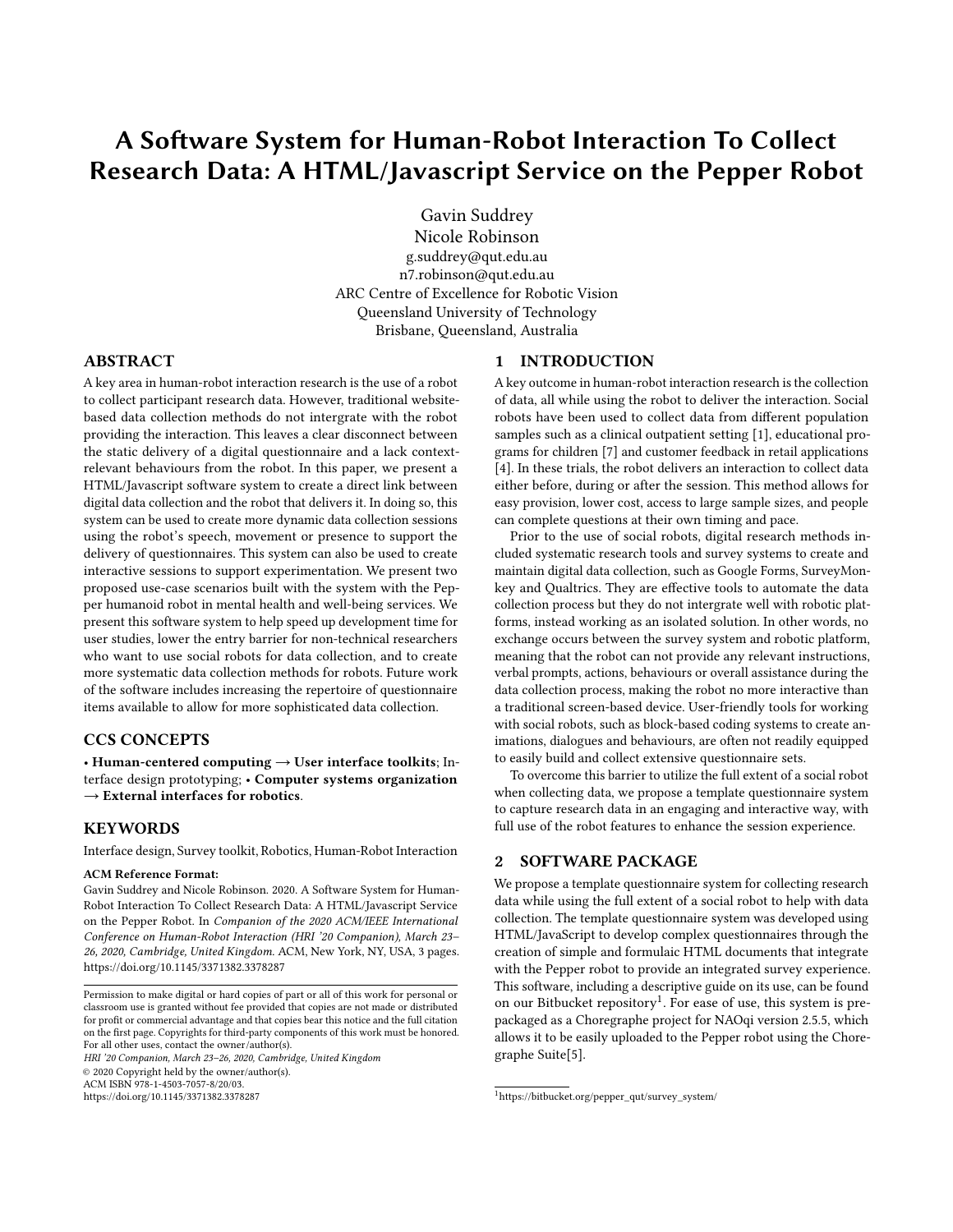# A Software System for Human-Robot Interaction To Collect Research Data: A HTML/Javascript Service on the Pepper Robot

Gavin Suddrey Nicole Robinson g.suddrey@qut.edu.au n7.robinson@qut.edu.au ARC Centre of Excellence for Robotic Vision Queensland University of Technology Brisbane, Queensland, Australia

## ABSTRACT

A key area in human-robot interaction research is the use of a robot to collect participant research data. However, traditional websitebased data collection methods do not intergrate with the robot providing the interaction. This leaves a clear disconnect between the static delivery of a digital questionnaire and a lack contextrelevant behaviours from the robot. In this paper, we present a HTML/Javascript software system to create a direct link between digital data collection and the robot that delivers it. In doing so, this system can be used to create more dynamic data collection sessions using the robot's speech, movement or presence to support the delivery of questionnaires. This system can also be used to create interactive sessions to support experimentation. We present two proposed use-case scenarios built with the system with the Pepper humanoid robot in mental health and well-being services. We present this software system to help speed up development time for user studies, lower the entry barrier for non-technical researchers who want to use social robots for data collection, and to create more systematic data collection methods for robots. Future work of the software includes increasing the repertoire of questionnaire items available to allow for more sophisticated data collection.

# CCS CONCEPTS

• Human-centered computing  $\rightarrow$  User interface toolkits; Interface design prototyping; • Computer systems organization  $\rightarrow$  External interfaces for robotics.

#### **KEYWORDS**

Interface design, Survey toolkit, Robotics, Human-Robot Interaction

#### ACM Reference Format:

Gavin Suddrey and Nicole Robinson. 2020. A Software System for Human-Robot Interaction To Collect Research Data: A HTML/Javascript Service on the Pepper Robot. In Companion of the 2020 ACM/IEEE International Conference on Human-Robot Interaction (HRI '20 Companion), March 23– 26, 2020, Cambridge, United Kingdom. ACM, New York, NY, USA, [3](#page-2-0) pages. <https://doi.org/10.1145/3371382.3378287>

HRI '20 Companion, March 23–26, 2020, Cambridge, United Kingdom © 2020 Copyright held by the owner/author(s).

ACM ISBN 978-1-4503-7057-8/20/03.

<https://doi.org/10.1145/3371382.3378287>

#### 1 INTRODUCTION

A key outcome in human-robot interaction research is the collection of data, all while using the robot to deliver the interaction. Social robots have been used to collect data from different population samples such as a clinical outpatient setting [\[1\]](#page-2-1), educational programs for children [\[7\]](#page-2-2) and customer feedback in retail applications [\[4\]](#page-2-3). In these trials, the robot delivers an interaction to collect data either before, during or after the session. This method allows for easy provision, lower cost, access to large sample sizes, and people can complete questions at their own timing and pace.

Prior to the use of social robots, digital research methods included systematic research tools and survey systems to create and maintain digital data collection, such as Google Forms, SurveyMonkey and Qualtrics. They are effective tools to automate the data collection process but they do not intergrate well with robotic platforms, instead working as an isolated solution. In other words, no exchange occurs between the survey system and robotic platform, meaning that the robot can not provide any relevant instructions, verbal prompts, actions, behaviours or overall assistance during the data collection process, making the robot no more interactive than a traditional screen-based device. User-friendly tools for working with social robots, such as block-based coding systems to create animations, dialogues and behaviours, are often not readily equipped to easily build and collect extensive questionnaire sets.

To overcome this barrier to utilize the full extent of a social robot when collecting data, we propose a template questionnaire system to capture research data in an engaging and interactive way, with full use of the robot features to enhance the session experience.

#### 2 SOFTWARE PACKAGE

We propose a template questionnaire system for collecting research data while using the full extent of a social robot to help with data collection. The template questionnaire system was developed using HTML/JavaScript to develop complex questionnaires through the creation of simple and formulaic HTML documents that integrate with the Pepper robot to provide an integrated survey experience. This software, including a descriptive guide on its use, can be found on our Bitbucket repository<sup>[1](#page-0-0)</sup>. For ease of use, this system is prepackaged as a Choregraphe project for NAOqi version 2.5.5, which allows it to be easily uploaded to the Pepper robot using the Choregraphe Suite[\[5\]](#page-2-4).

Permission to make digital or hard copies of part or all of this work for personal or classroom use is granted without fee provided that copies are not made or distributed for profit or commercial advantage and that copies bear this notice and the full citation on the first page. Copyrights for third-party components of this work must be honored. For all other uses, contact the owner/author(s).

<span id="page-0-0"></span><sup>1</sup>[https://bitbucket.org/pepper\\_qut/survey\\_system/](https://bitbucket.org/pepper_qut/survey_system/)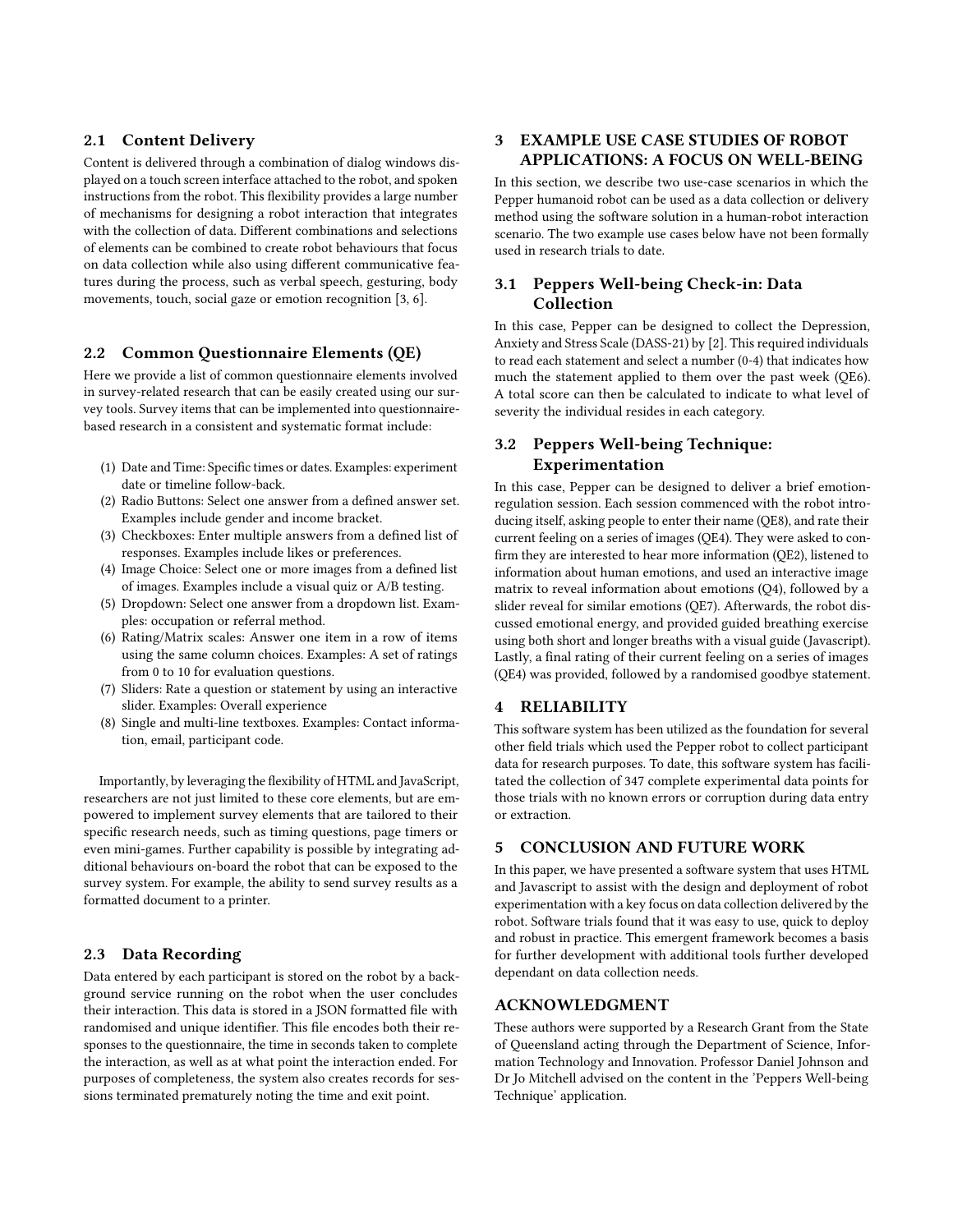## 2.1 Content Delivery

Content is delivered through a combination of dialog windows displayed on a touch screen interface attached to the robot, and spoken instructions from the robot. This flexibility provides a large number of mechanisms for designing a robot interaction that integrates with the collection of data. Different combinations and selections of elements can be combined to create robot behaviours that focus on data collection while also using different communicative features during the process, such as verbal speech, gesturing, body movements, touch, social gaze or emotion recognition [\[3,](#page-2-5) [6\]](#page-2-6).

#### 2.2 Common Questionnaire Elements (QE)

Here we provide a list of common questionnaire elements involved in survey-related research that can be easily created using our survey tools. Survey items that can be implemented into questionnairebased research in a consistent and systematic format include:

- (1) Date and Time: Specific times or dates. Examples: experiment date or timeline follow-back.
- (2) Radio Buttons: Select one answer from a defined answer set. Examples include gender and income bracket.
- (3) Checkboxes: Enter multiple answers from a defined list of responses. Examples include likes or preferences.
- (4) Image Choice: Select one or more images from a defined list of images. Examples include a visual quiz or A/B testing.
- (5) Dropdown: Select one answer from a dropdown list. Examples: occupation or referral method.
- (6) Rating/Matrix scales: Answer one item in a row of items using the same column choices. Examples: A set of ratings from 0 to 10 for evaluation questions.
- (7) Sliders: Rate a question or statement by using an interactive slider. Examples: Overall experience
- (8) Single and multi-line textboxes. Examples: Contact information, email, participant code.

Importantly, by leveraging the flexibility of HTML and JavaScript, researchers are not just limited to these core elements, but are empowered to implement survey elements that are tailored to their specific research needs, such as timing questions, page timers or even mini-games. Further capability is possible by integrating additional behaviours on-board the robot that can be exposed to the survey system. For example, the ability to send survey results as a formatted document to a printer.

## 2.3 Data Recording

Data entered by each participant is stored on the robot by a background service running on the robot when the user concludes their interaction. This data is stored in a JSON formatted file with randomised and unique identifier. This file encodes both their responses to the questionnaire, the time in seconds taken to complete the interaction, as well as at what point the interaction ended. For purposes of completeness, the system also creates records for sessions terminated prematurely noting the time and exit point.

# 3 EXAMPLE USE CASE STUDIES OF ROBOT APPLICATIONS: A FOCUS ON WELL-BEING

In this section, we describe two use-case scenarios in which the Pepper humanoid robot can be used as a data collection or delivery method using the software solution in a human-robot interaction scenario. The two example use cases below have not been formally used in research trials to date.

## 3.1 Peppers Well-being Check-in: Data Collection

In this case, Pepper can be designed to collect the Depression, Anxiety and Stress Scale (DASS-21) by [\[2\]](#page-2-7). This required individuals to read each statement and select a number (0-4) that indicates how much the statement applied to them over the past week (QE6). A total score can then be calculated to indicate to what level of severity the individual resides in each category.

# 3.2 Peppers Well-being Technique: Experimentation

In this case, Pepper can be designed to deliver a brief emotionregulation session. Each session commenced with the robot introducing itself, asking people to enter their name (QE8), and rate their current feeling on a series of images (QE4). They were asked to confirm they are interested to hear more information (QE2), listened to information about human emotions, and used an interactive image matrix to reveal information about emotions (Q4), followed by a slider reveal for similar emotions (QE7). Afterwards, the robot discussed emotional energy, and provided guided breathing exercise using both short and longer breaths with a visual guide (Javascript). Lastly, a final rating of their current feeling on a series of images (QE4) was provided, followed by a randomised goodbye statement.

## 4 RELIABILITY

This software system has been utilized as the foundation for several other field trials which used the Pepper robot to collect participant data for research purposes. To date, this software system has facilitated the collection of 347 complete experimental data points for those trials with no known errors or corruption during data entry or extraction.

# 5 CONCLUSION AND FUTURE WORK

In this paper, we have presented a software system that uses HTML and Javascript to assist with the design and deployment of robot experimentation with a key focus on data collection delivered by the robot. Software trials found that it was easy to use, quick to deploy and robust in practice. This emergent framework becomes a basis for further development with additional tools further developed dependant on data collection needs.

#### ACKNOWLEDGMENT

These authors were supported by a Research Grant from the State of Queensland acting through the Department of Science, Information Technology and Innovation. Professor Daniel Johnson and Dr Jo Mitchell advised on the content in the 'Peppers Well-being Technique' application.